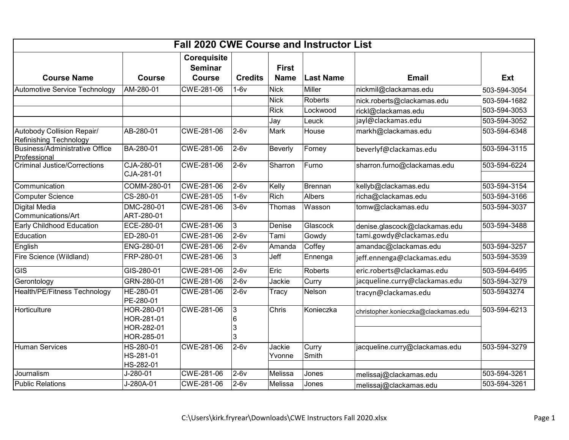| <b>Fall 2020 CWE Course and Instructor List</b>      |                                                      |                                                |                                |                             |                  |                                     |              |  |  |  |  |
|------------------------------------------------------|------------------------------------------------------|------------------------------------------------|--------------------------------|-----------------------------|------------------|-------------------------------------|--------------|--|--|--|--|
| <b>Course Name</b>                                   | <b>Course</b>                                        | Corequisite<br><b>Seminar</b><br><b>Course</b> | <b>Credits</b>                 | <b>First</b><br><b>Name</b> | <b>Last Name</b> | <b>Email</b>                        | Ext          |  |  |  |  |
| Automotive Service Technology                        | AM-280-01                                            | CWE-281-06                                     | $1-6v$                         | <b>Nick</b>                 | <b>Miller</b>    | nickmil@clackamas.edu               | 503-594-3054 |  |  |  |  |
|                                                      |                                                      |                                                |                                | <b>Nick</b>                 | Roberts          | nick.roberts@clackamas.edu          | 503-594-1682 |  |  |  |  |
|                                                      |                                                      |                                                |                                | <b>Rick</b>                 | Lockwood         | rickl@clackamas.edu                 | 503-594-3053 |  |  |  |  |
|                                                      |                                                      |                                                |                                | Jay                         | Leuck            | jayl@clackamas.edu                  | 503-594-3052 |  |  |  |  |
| Autobody Collision Repair/<br>Refinishing Technology | AB-280-01                                            | CWE-281-06                                     | $2-6v$                         | Mark                        | House            | markh@clackamas.edu                 | 503-594-6348 |  |  |  |  |
| Business/Administrative Office<br>Professional       | BA-280-01                                            | CWE-281-06                                     | $2-6v$                         | Beverly                     | Forney           | beverlyf@clackamas.edu              | 503-594-3115 |  |  |  |  |
| <b>Criminal Justice/Corrections</b>                  | CJA-280-01<br>CJA-281-01                             | CWE-281-06                                     | $2-6v$                         | Sharron                     | Furno            | sharron.furno@clackamas.edu         | 503-594-6224 |  |  |  |  |
| Communication                                        | COMM-280-01                                          | CWE-281-06                                     | $2-6v$                         | Kelly                       | Brennan          | kellyb@clackamas.edu                | 503-594-3154 |  |  |  |  |
| Computer Science                                     | CS-280-01                                            | CWE-281-05                                     | $1-6v$                         | Rich                        | Albers           | richa@clackamas.edu                 | 503-594-3166 |  |  |  |  |
| Digital Media<br>Communications/Art                  | DMC-280-01<br>ART-280-01                             | CWE-281-06                                     | $3-6v$                         | Thomas                      | Wasson           | tomw@clackamas.edu                  | 503-594-3037 |  |  |  |  |
| Early Childhood Education                            | ECE-280-01                                           | CWE-281-06                                     | 3                              | Denise                      | Glascock         | denise.glascock@clackamas.edu       | 503-594-3488 |  |  |  |  |
| Education                                            | ED-280-01                                            | CWE-281-06                                     | $2-6v$                         | Tami                        | Gowdy            | tami.gowdy@clackamas.edu            |              |  |  |  |  |
| English                                              | ENG-280-01                                           | CWE-281-06                                     | $2-6v$                         | Amanda                      | Coffey           | amandac@clackamas.edu               | 503-594-3257 |  |  |  |  |
| Fire Science (Wildland)                              | FRP-280-01                                           | CWE-281-06                                     | 3                              | Jeff                        | Ennenga          | jeff.ennenga@clackamas.edu          | 503-594-3539 |  |  |  |  |
| $\overline{GIS}$                                     | GIS-280-01                                           | CWE-281-06                                     | $2-6v$                         | Eric                        | Roberts          | eric.roberts@clackamas.edu          | 503-594-6495 |  |  |  |  |
| Gerontology                                          | GRN-280-01                                           | CWE-281-06                                     | $2-6v$                         | Jackie                      | Curry            | jacqueline.curry@clackamas.edu      | 503-594-3279 |  |  |  |  |
| Health/PE/Fitness Technology                         | HE-280-01<br>PE-280-01                               | CWE-281-06                                     | $2-6v$                         | Tracy                       | Nelson           | tracyn@clackamas.edu                | 503-5943274  |  |  |  |  |
| Horticulture                                         | HOR-280-01<br>HOR-281-01<br>HOR-282-01<br>HOR-285-01 | CWE-281-06                                     | 3<br>$6\phantom{1}6$<br>3<br>3 | Chris                       | Konieczka        | christopher.konieczka@clackamas.edu | 503-594-6213 |  |  |  |  |
| Human Services                                       | HS-280-01<br>HS-281-01<br>HS-282-01                  | CWE-281-06                                     | $2-6v$                         | Jackie<br>Yvonne            | Curry<br>Smith   | jacqueline.curry@clackamas.edu      | 503-594-3279 |  |  |  |  |
| Journalism                                           | J-280-01                                             | CWE-281-06                                     | $2-6v$                         | Melissa                     | Jones            | melissaj@clackamas.edu              | 503-594-3261 |  |  |  |  |
| <b>Public Relations</b>                              | J-280A-01                                            | CWE-281-06                                     | $2-6v$                         | Melissa                     | Jones            | melissaj@clackamas.edu              | 503-594-3261 |  |  |  |  |